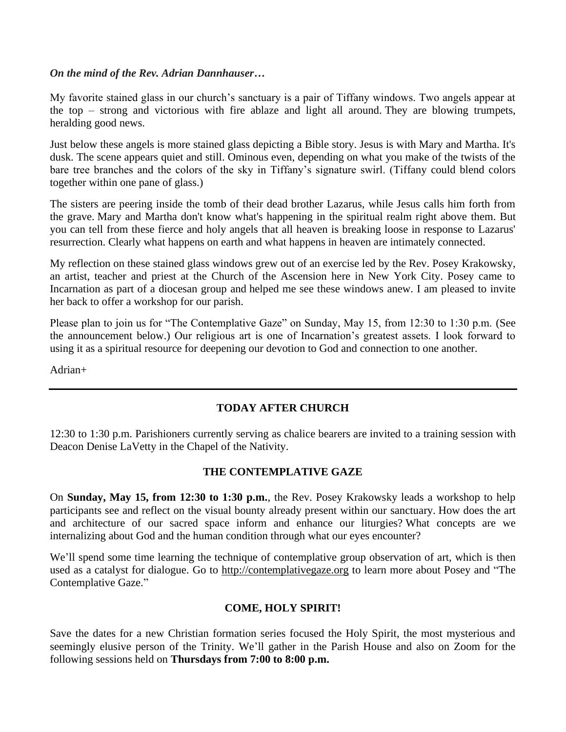#### *On the mind of the Rev. Adrian Dannhauser…*

My favorite stained glass in our church's sanctuary is a pair of Tiffany windows. Two angels appear at the top – strong and victorious with fire ablaze and light all around. They are blowing trumpets, heralding good news.

Just below these angels is more stained glass depicting a Bible story. Jesus is with Mary and Martha. It's dusk. The scene appears quiet and still. Ominous even, depending on what you make of the twists of the bare tree branches and the colors of the sky in Tiffany's signature swirl. (Tiffany could blend colors together within one pane of glass.)

The sisters are peering inside the tomb of their dead brother Lazarus, while Jesus calls him forth from the grave. Mary and Martha don't know what's happening in the spiritual realm right above them. But you can tell from these fierce and holy angels that all heaven is breaking loose in response to Lazarus' resurrection. Clearly what happens on earth and what happens in heaven are intimately connected.

My reflection on these stained glass windows grew out of an exercise led by the Rev. Posey Krakowsky, an artist, teacher and priest at the Church of the Ascension here in New York City. Posey came to Incarnation as part of a diocesan group and helped me see these windows anew. I am pleased to invite her back to offer a workshop for our parish.

Please plan to join us for "The Contemplative Gaze" on Sunday, May 15, from 12:30 to 1:30 p.m. (See the announcement below.) Our religious art is one of Incarnation's greatest assets. I look forward to using it as a spiritual resource for deepening our devotion to God and connection to one another.

Adrian+

# **TODAY AFTER CHURCH**

12:30 to 1:30 p.m. Parishioners currently serving as chalice bearers are invited to a training session with Deacon Denise LaVetty in the Chapel of the Nativity.

### **THE CONTEMPLATIVE GAZE**

On **Sunday, May 15, from 12:30 to 1:30 p.m.**, the Rev. Posey Krakowsky leads a workshop to help participants see and reflect on the visual bounty already present within our sanctuary. How does the art and architecture of our sacred space inform and enhance our liturgies? What concepts are we internalizing about God and the human condition through what our eyes encounter?

We'll spend some time learning the technique of contemplative group observation of art, which is then used as a catalyst for dialogue. Go to [http://contemplativegaze.org](http://contemplativegaze.org/) to learn more about Posey and "The Contemplative Gaze."

### **COME, HOLY SPIRIT!**

Save the dates for a new Christian formation series focused the Holy Spirit, the most mysterious and seemingly elusive person of the Trinity. We'll gather in the Parish House and also on Zoom for the following sessions held on **Thursdays from 7:00 to 8:00 p.m.**